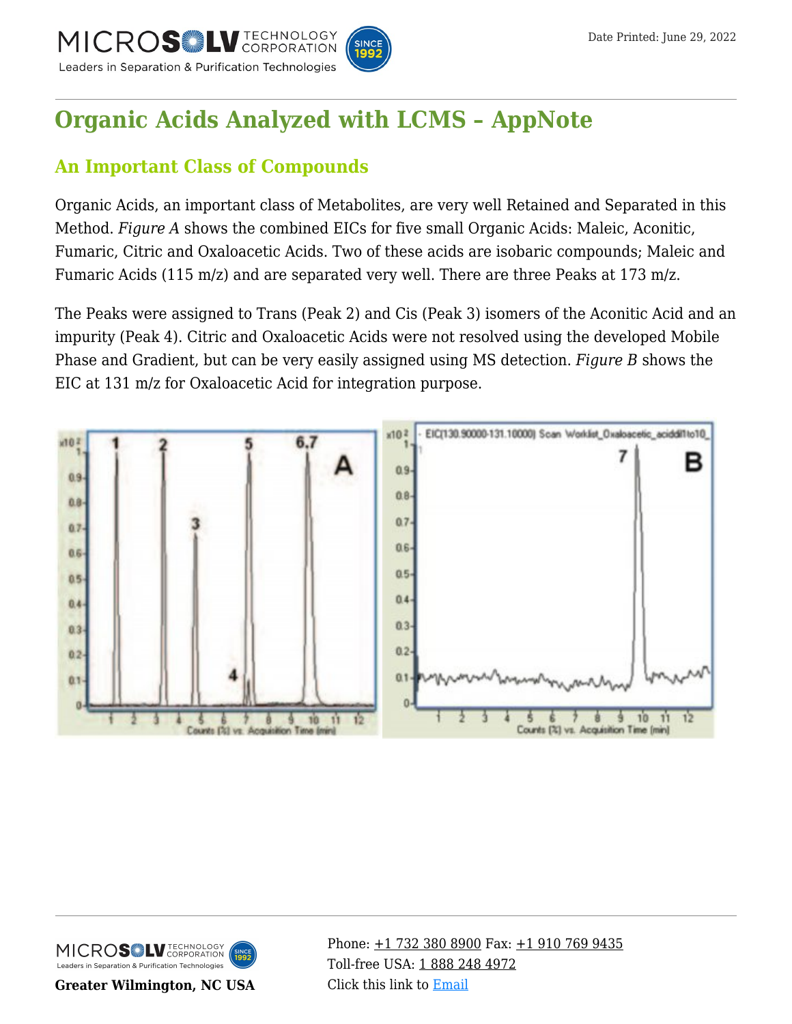

# **[Organic Acids Analyzed with LCMS – AppNote](https://kb.mtc-usa.com/article/aa-00673/46/)**

# **An Important Class of Compounds**

Organic Acids, an important class of Metabolites, are very well Retained and Separated in this Method. *Figure A* shows the combined EICs for five small Organic Acids: Maleic, Aconitic, Fumaric, Citric and Oxaloacetic Acids. Two of these acids are isobaric compounds; Maleic and Fumaric Acids (115 m/z) and are separated very well. There are three Peaks at 173 m/z.

The Peaks were assigned to Trans (Peak 2) and Cis (Peak 3) isomers of the Aconitic Acid and an impurity (Peak 4). Citric and Oxaloacetic Acids were not resolved using the developed Mobile Phase and Gradient, but can be very easily assigned using MS detection. *Figure B* shows the EIC at 131 m/z for Oxaloacetic Acid for integration purpose.





**Greater Wilmington, NC USA**

Phone:  $\pm$ 1 732 380 8900 Fax:  $\pm$ 1 910 769 9435 Toll-free USA: [1 888 248 4972](#page--1-0) Click this link to [Email](https://www.mtc-usa.com/contact)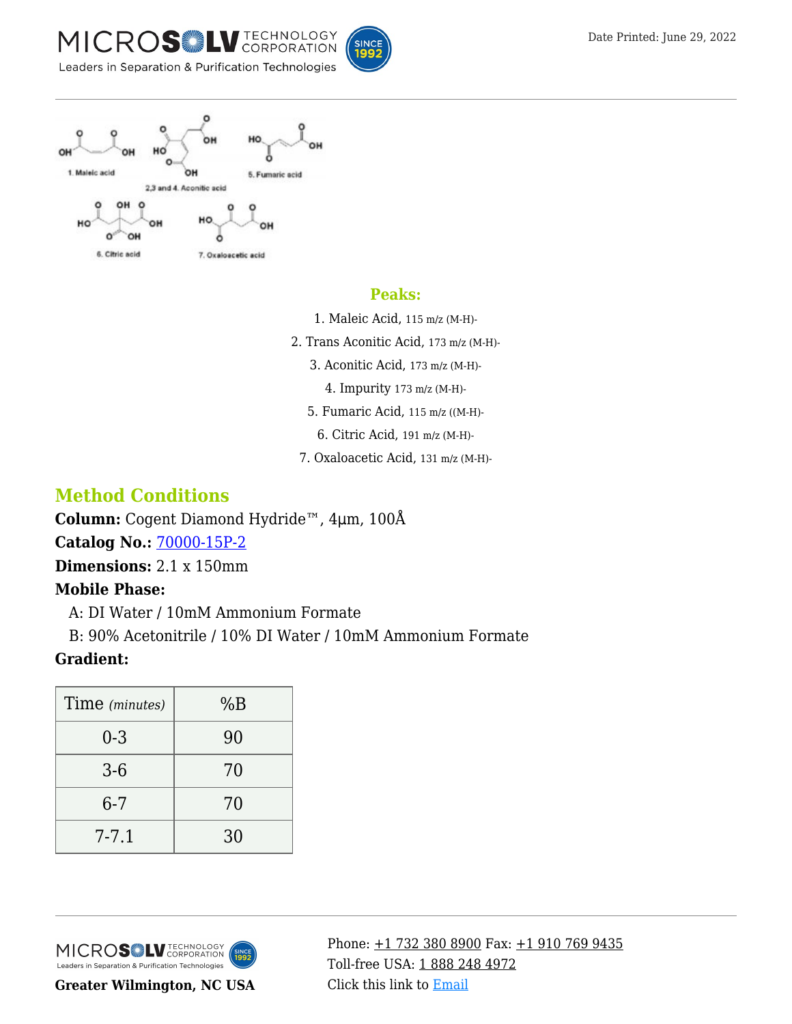







#### **Peaks:**

- 1. Maleic Acid, 115 m/z (M-H)-
- 2. Trans Aconitic Acid, 173 m/z (M-H)-
	- 3. Aconitic Acid, 173 m/z (M-H)-
		- 4. Impurity 173 m/z (M-H)-
	- 5. Fumaric Acid, 115 m/z ((M-H)-
		- 6. Citric Acid, 191 m/z (M-H)-
	- 7. Oxaloacetic Acid, 131 m/z (M-H)-

# **Method Conditions**

**Column:** Cogent Diamond Hydride™, 4μm, 100Å **Catalog No.:** [70000-15P-2](https://www.mtc-usa.com/product-details/id/4115801)

**Dimensions:** 2.1 x 150mm

### **Mobile Phase:**

—A: DI Water / 10mM Ammonium Formate

—B: 90% Acetonitrile / 10% DI Water / 10mM Ammonium Formate

### **Gradient:**

| %B |
|----|
| 90 |
| 70 |
| 70 |
| 30 |
|    |



**Greater Wilmington, NC USA**

Phone:  $\pm$ 1 732 380 8900 Fax:  $\pm$ 1 910 769 9435 Toll-free USA: [1 888 248 4972](#page--1-0) Click this link to [Email](https://www.mtc-usa.com/contact)